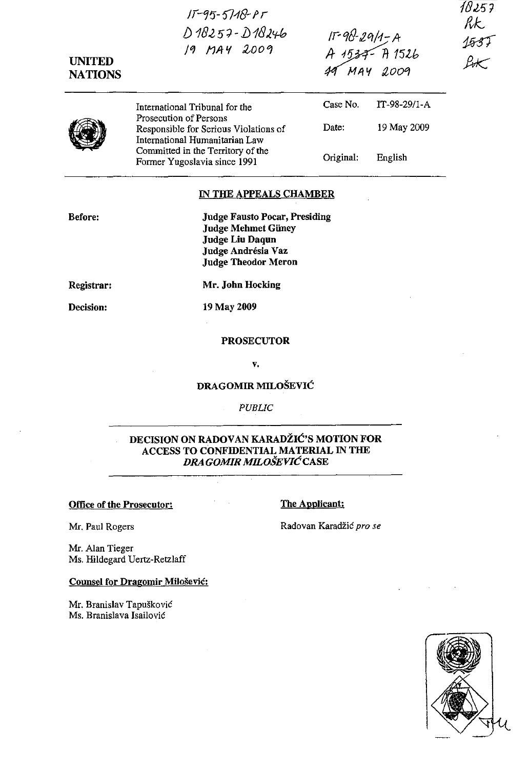| <b>UNITED</b><br><b>NATIONS</b> | $15 - 95 - 5718 - 17$<br>$D18257 - D18246$<br>19 MAY 2009                                                                                       | IF-98-29/1-A<br>A 1534- A 1526<br>49 MAY 2009 |              | 18257<br>RK<br><u> 1537 </u><br>-<br>Lot |
|---------------------------------|-------------------------------------------------------------------------------------------------------------------------------------------------|-----------------------------------------------|--------------|------------------------------------------|
|                                 | International Tribunal for the<br>Prosecution of Persons                                                                                        | Case No.                                      | IT-98-29/1-A |                                          |
|                                 | Responsible for Serious Violations of<br>International Humanitarian Law                                                                         | Date:                                         | 19 May 2009  |                                          |
|                                 | Committed in the Territory of the<br>Former Yugoslavia since 1991                                                                               | Original:                                     | English      |                                          |
|                                 | IN THE APPEALS CHAMBER                                                                                                                          |                                               |              |                                          |
| Before:                         | <b>Judge Fausto Pocar, Presiding</b><br><b>Judge Mehmet Güney</b><br><b>Judge Liu Daqun</b><br>Judge Andrésia Vaz<br><b>Judge Theodor Meron</b> |                                               |              |                                          |
| Registrar:                      | Mr. John Hocking                                                                                                                                |                                               |              |                                          |
| Decision:                       | 19 May 2009                                                                                                                                     |                                               |              |                                          |
|                                 | <b>PROSECUTOR</b>                                                                                                                               |                                               |              |                                          |
|                                 | V.                                                                                                                                              |                                               |              |                                          |

# DRAGOMIR MILOŠEVIĆ

*PUBLIC* 

# DECISION ON RADOVAN KARADŽIĆ'S MOTION FOR ACCESS TO CONFIDENTIAL MATERIAL IN THE *DRA GOMIR* MILOŠEVIĆCASE

# Office of the Prosecutor: The Applicant:

Mr. Paul Rogers

Mr. Alan Tieger Ms. Hildegard Uertz-Retzlaff

# Counsel for Dragomir Milošević:

Mr. Branislav Tapušković Ms. Branislava Isailović

Radovan Karadžić pro se

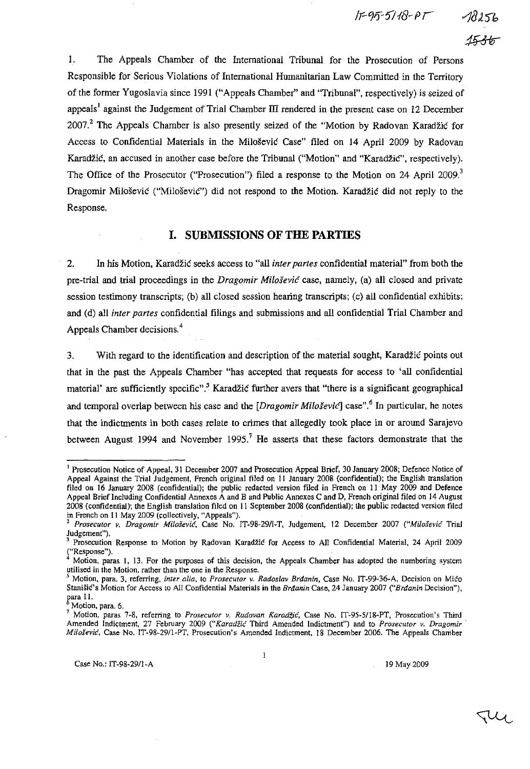IF95-5118-PT

I. The Appeals Chamber of the International Tribunal for the Prosecution of Persons Responsible for Serious Violations of International Humanitarian Law Committed in the Territory of the former Yugoslavia since 1991 ("Appeals Chamber" and ''Tribunal'', respectively) is seized of appeals<sup>1</sup> against the Judgement of Trial Chamber III rendered in the present case on 12 December 2007.2 The Appeals Chamber is also presently seized of the "Motion by Radovan Karadžić for Access to Confidential Materials in the Milošević Case" filed on 14 April 2009 by Radovan Karadžić, an accused in another case before the Tribunal ("Motion" and "Karadžić", respectively). The Office of the Prosecutor ("Prosecution") filed a response to the Motion on 24 April 2009.<sup>3</sup> Dragomir Milošević ("Miloševic"') did not respond to the Motion. Karadžić did not reply to the Response.

# **I. SUBMISSIONS OF THE PARTIES**

2. In his Motion, Karadžić seeks access to "all *inter partes* confidential material" from both the pre-trial and trial proceedings in the *Dragomir* Milošević case, namely, (a) all closed and private session testimony transcripts; (b) all closed session hearing transcripts; (c) all confidential exhibits; and (d) all *inter partes* confidential filings and submissions and all confidential Trial Chamber and Appeals Chamber decisions. 4

3. With regard to the identification and description of the material sought, Karadžić points out that in the past the Appeals Chamber "has accepted that requests for access to 'all confidential material' are sufficiently specific".<sup>5</sup> Karadžić further avers that "there is a significant geographical and temporal overlap between his case and the *[Dragomir Miloševic1* case".6 In particular, he notes that the indictments in both cases relate to crimes that allegedly took place in or around Sarajevo between August 1994 and November 1995.<sup>7</sup> He asserts that these factors demonstrate that the

 $\mathbf{l}$ 

TU

<sup>&</sup>lt;sup>1</sup> Prosecution Notice of Appeal, 31 December 2007 and Prosecution Appeal Brief, 30 January 2008; Defence Notice of Appeal Against the Trial Judgement, French original filed on II January 2008 (confidential); the English translation filed on 16 January 2008 (confidential); the public redacted version filed in French on II May 2009 and Defence Appeal Brief Including Confidential Annexes A and B and Public Annexes C and D, French original filed on 14 August 2008 (confidential): the English translation filed on II September 2008 (confidential): the public redacted version filed in French on II May 2009 (collectively, "Appeals").

Prosecutor v. Dragomir Milošević, Case No. IT-98-29/1-T, Judgement, 12 December 2007 ("Milošević Trial Judgement").

Prosecution Response to Motion by Radovan Karadžić for Access to All Confidential Material, 24 April 2009 **("Response").** 

<sup>4</sup>**Motion, paras l, 13. For the purposes of this decision. the Appeals Chamber has adopted the numbering system**  utilised in the Motion, rather than the one in the Response.<br><sup>5</sup> Motion, and a motion, rather than the one in the Response.

s **Motion, para. 3, referring,** *inter alia,* **to** *Prosecutor v. Radoslav* Brđanin, **Case No. IT-99-36-A, Decision on** Mićo Stanišić's **Motion for Access to All Confidential Materials in the** Brđanin **Case, 24 January 2007** ("Brđanin **Decision"),**  para 11.

**Motion, para. 6.** 

**<sup>7</sup> Motion, paras 7-8, referring to** *Prosecutor v. Radovan* Karadžić, **Case No. IT-95-51l8-PT, Prosecution's Third Amended Jndictment, 27 February 2009** ("Karadžić **Third Amended Indictment") and to** *Prosecutor v. Dragomir'*  Milošević, **Case No. IT-98-291l-PT, Prosecution's Amended Indictment. 18 December 2006. The Appeals Chamber**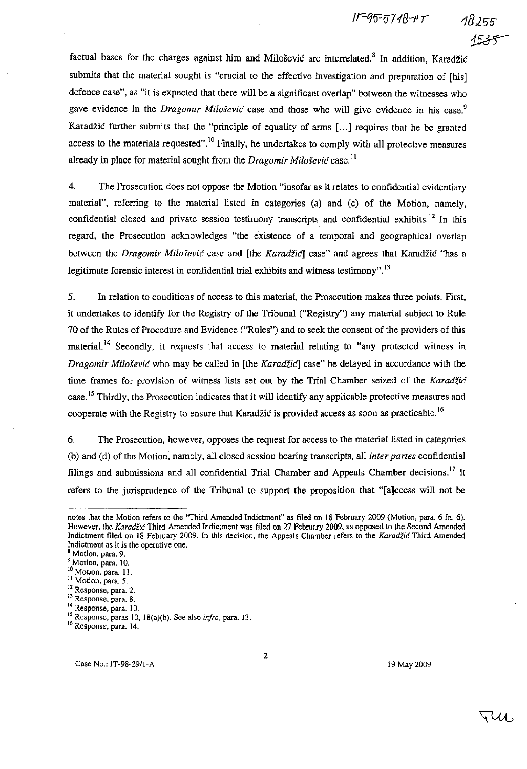$15 - 95 - 5748 - PT$ 

factual bases for the charges against him and Milošević are interrelated.<sup>8</sup> In addition, Karadžić submits that the material sought is "crucial to the effective investigation and preparation of [his] defence case", as "it is expected that there will be a significant overlap" between the witnesses who gave evidence in the *Dragomir Milošević* case and those who will give evidence in his case.<sup>9</sup> Karadžić further submits that the "principle of equality of arms [...] requires that he be granted access to the materials requested".<sup>10</sup> Finally, he undertakes to comply with all protective measures already in place for material sought from the *Dragomir* Milošević case. 11

4. The Prosecution does not oppose the Motion "insofar as it relates to confidential evidentiary material", referring to the material listed in categories (a) and (c) of the Motion, namely, confidential closed and private session testimony transcripts and confidential exhibits.<sup>12</sup> In this regard, the Prosecution acknowledges "the existence of a temporal and geographical overlap between the *Dragomir* Milošević case and [the *Karadžicl* case" and agrees that Karadžić "has a legitimate forensic interest in confidential trial exhibits and witness testimony". 13

5. In relation to conditions of access to this material, the Prosecution makes three points. First, it undertakes to identify for the Registry of the Tribunal ("Registry") any material subject to Rule 70 of the Rules of Procedure and Evidence ("Rules") and to seek the consent of the providers of this material.<sup>14</sup> Secondly, it requests that access to material relating to "any protected witness in *Dragomir Milošević* who may be called in [the *Karadžić*] case" be delayed in accordance with the time frames for provision of witness lists set out by the Trial Chamber seized of the Karadžić case.<sup>15</sup> Thirdly, the Prosecution indicates that it will identify any applicable protective measures and cooperate with the Registry to ensure that Karadžić is provided access as soon as practicable.<sup>16</sup>

6. The Prosecution, however, opposes the request for access to the material listed in categories (b) and (d) of the Motion, namely, all closed session hearing transcripts, all *inter partes* confidential filings and submissions and all confidential Trial Chamber and Appeals Chamber decisions.<sup>17</sup> It refers to the jurisprudence of the Tribunal to support the proposition that "[a]ccess will not be

2

19 May 2009

TUI.

notes that the Motion refers to the "Third Amended Indictment" as filed on 18 February 2009 (Motion, para. 6 fn. 6). **However. the** Karadžić Third **Amended Indictment was filed on 27 February 2009. as opposed to the Second Amended Indictment filed on 18 February 2009. In this decision, the Appeals Chamber refers to the** Karadžić **Third Amended Indictment as it is the operative one.** 

**g Motion, para. 9.** 

**<sup>9</sup> Motion, para. 10.** 

**<sup>10</sup> Motion, para. ll.** 

**II Motion, para. 5. 12 Response, para. 2.** 

**<sup>13</sup>Response, para. 8.** 

**<sup>14</sup> Response, para, 10,** 

<sup>&</sup>lt;sup>15</sup> Response, paras 10, 18(a)(b). See also *infra*, para. 13.

<sup>&</sup>lt;sup>16</sup> Response, para. 14.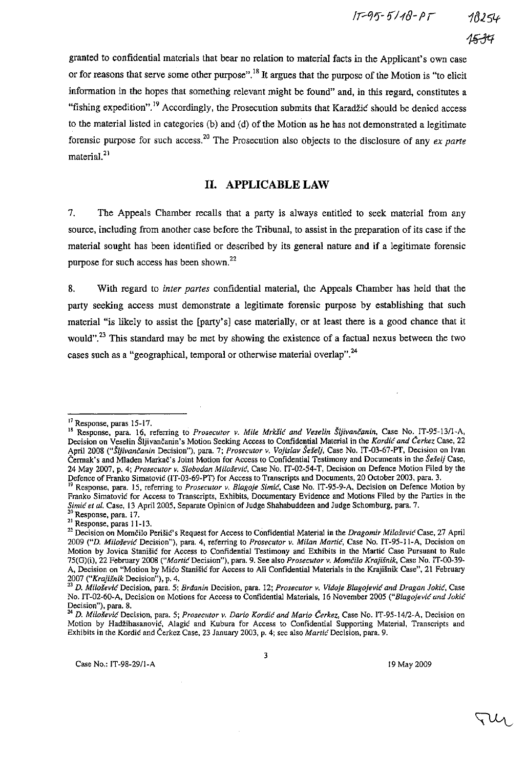granted to confidential materials that bear no relation to material facts in the Applicant's own case or for reasons that serve some other purpose".<sup>18</sup> It argues that the purpose of the Motion is "to elicit information in the hopes that something relevant might be found" and, in this regard, constitutes a "fishing expedition".<sup>19</sup> Accordingly, the Prosecution submits that Karadžić should be denied access to the material listed in categories (b) and (d) of the Motion as he has not demonstrated a legitimate forensic purpose for such access. 20 The Prosecution also Objects to the disclosure of any *ex parte*  material. $^{21}$ 

# II. APPLICABLE LAW

7. The Appeals Chamber recalls that a party is always entitled to seek material from any source, including from another case before the Tribunal, to assist in the preparation of its case if the material sought has been identified or described by its general nature and if a legitimate forensic purpose for such access has been shown. <sup>22</sup>

8. With regard to *inter partes* confidential material, the Appeals Chamber has held that the party seeking access must demonstrate a legitimate forensic purpose by establishing that such material "is likely to assist the [party's] case materially, or at least there is a good chance that it would".<sup>23</sup> This standard may be met by showing the existence of a factual nexus between the two cases such as a "geographical, temporal or otherwise material overlap".<sup>24</sup>

3

l7 Response, paras 15-17.

<sup>19</sup> Response, para. 16. referring to *Prosecutor v. Mile* Mrkšić *and Veselin* Šljivančanin, Case No. IT-95-1311-A, Decision on Veselin Šljivančanin's Motion Seeking Access to Confidential Material in the Kordić *and* Čerkez Case, 22 April 2008 (HŠljivančanin Decision"), para. 7; *Prosecutor v. Vojislav Šešelj,* Case No. IT-03-67-PT, Decision on Ivan Čennak's and Mladen Markač's Joint Motion for Access to Confidential Testimony and Documents in the *Še§elj* Case, 24 May 2007, p. 4; *Prosecutor v. Slobodan* Milošević, Case No. IT-02-54-T, Decision on Defence Motion Filed by the Defence of Franko Simatović (IT-03-69-PT) for Access to Transcripts and Documents, 20 October 2003. para. 3.

<sup>19</sup> Response, para. IS. referring to *Prosecutor v, Blagoje* Simić, Case No. IT -95-9-A, Decision on Defence Motion by Franko Simatović for Access to Transcripts, Exhibits, Documentary Evidence and Motions Filed by the Parties in the Simić et al. Case, 13 April 2005, Separate Opinion of Judge Shahabuddeen and Judge Schomburg, para. 7.

<sup>20</sup> Response. para, 17.  $21$  Response, paras 11-13.

<sup>22</sup> Decision on Momčilo Perišić's Request for Access to Confidential Material in the *Dragomir* Milošević Case, 27 April *2009 ("D.* Milošević Decision"), para. 4, referring to *Prosecutor v. Milan* Martić, Case No. IT-95-11-A. Decision on Motion by Jovica Stanišić for Access to Confidential Testimony and Exhibits in the Martić Case Pursuant to Rule 75(G)(i), 22 February 2008 ("Martić Decision"), para. 9. See also *Prosecutor v.* Momčilo *Krajišnik,* Case No. IT-00-39- A. Decision on "Motion by Mićo Stanišić for Access to All Confidential Materials in the Krajišnik Case", 21 February *2007 ("Krajišnik* Decision"), p. 4.

<sup>2.1</sup> D. Milošević Decision, para. 5; Brđanin Decision, para. 12; *Prosecutor v. Vidoje* Blagojević *and Dragan* Jokić, Case No. IT-02-60-A. Decision on Motions for Access to Confidential Materials, 16 November 2005 ("Blagojević *and* Jokić Decision"), para. 8.

<sup>&</sup>lt;sup>24</sup> D. Milo*šević* Decision, para. 5; *Prosecutor v. Dario Kordić and Mario Cerkez*, Case No. IT-95-14/2-A, Decision on Motion by Hadžihasanović, Alagić and Kubura for Access to Confidential Supporting Material, Transcripts and Exhibits in the Kordić and Čerkez Case, 23 January 2003, p. 4; see also *Martić* Decision, para. 9.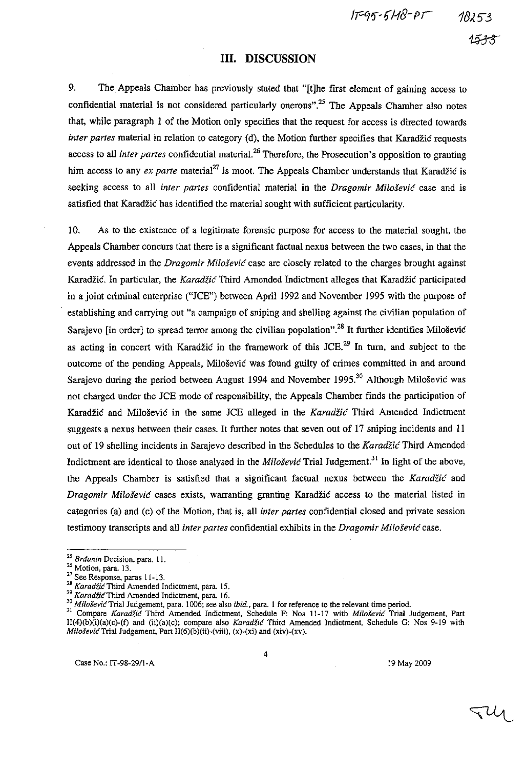!P91J-1i/1(]- *p* r

### **III. DISCUSSION**

9. The. Appeals Chamber has previously stated that "[t]he first element of gaining access to confidential material is not considered particularly onerous".<sup>25</sup> The Appeals Chamber also notes that, while paragraph l of the Motion only specifies that the request for access is directed towards *inter partes* material in relation to category (d), the Motion further specifies that Karadžić requests access to all *inter partes* confidential material. 26 Therefore, the Prosecution's opposition to granting him access to any *ex parte* material<sup>27</sup> is moot. The Appeals Chamber understands that Karadžić is seeking access to all *inter partes* confidential material in the *Dragomir* Milošević case and is satisfied that Karadžić has identified the material sought with sufficient particularity.

10. As to the existence of a legitimate forensic purpose for access to the material sought, the Appeals Chamber concurs that there is a significant factual nexus between the two cases, in that the events addressed in the *Dragomir* Milošević case are closely related to the charges brought against Karadžić. In particular, the Karadžić Third Amended Indictment alleges that Karadžić participated in a joint criminal enterprise ("JCE") between April 1992 and November 1995 with the purpose of establishing and carrying out "a campaign of sniping and shelling against the civilian population of Sarajevo [in order] to spread terror among the civilian population".<sup>28</sup> It further identifies Milošević as acting in concert with Karadžić in the framework of this JCE.<sup>29</sup> In turn, and subject to the outcome of the pending Appeals, Milošević was found guilty of crimes committed in and around Sarajevo during the period between August 1994 and November 1995.<sup>30</sup> Although Milošević was not charged under the JCE mode of responsibility, the Appeals Chamber finds the participation of Karadžić and Milošević in the same JCE alleged in the Karadžić Third Amended Indictment suggests a nexus between their cases. It further notes that seven out of 17 sniping incidents and 11 out of 19 shelling incidents in Sarajevo described in the Schedules to the Karadžić Third Amended Indictment are identical to those analysed in the *Milošević* Trial Judgement.<sup>31</sup> In light of the above, the Appeals Chamber is satisfied that a significant factual nexus between the Karadžić and *Dragomir* Milošević cases exists, warranting granting Karadžić access to the material listed in categories (a) and (e) of the Motion, that is, all *inter partes* confidential closed and private session testimony transcripts and all *inter partes* confidential exhibits in the *Dragomir* Milošević case.

**<sup>30</sup>**Milošević Trial **Judgement, para. 1006; see also ibid., para. l for reference to the relevant time period.** 

Case No.: IT-98-29/l-A 19 May 2009

4

JUI

<sup>&</sup>lt;sup>25</sup> Brdanin Decision, para. 11.

**<sup>26</sup> Motion, para. 13.** 

**<sup>27</sup>See Response, paras 11-13.** 

**<sup>2</sup>B** Karadžić Third **Amended Indicement, para. 15.** 

**<sup>29</sup>**KaradžićThird **Amended Indictment, para. 16.** 

**<sup>31</sup>Compare** Karadžić **Third Amended Indictment, Schedule F: Nos 11-17 with** Milošević **Trial Judgement, Part**  II(4)(b)(i)(a)(c)-(t) and (ii)(a)(c); compare also Karadžić Third Amended Indictment. Schedule G: Nos 9-19 with MiloševićTrial Judgement. Part II(6)(b)(ii)-(viii). (x)-(xi) and (xiv)-(xv).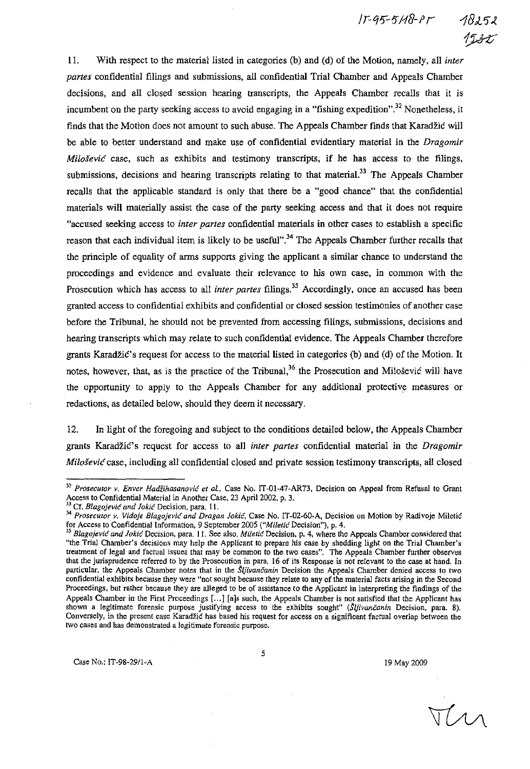$15 - 95 - 518 - 15$ 



ll. With respect to the material listed in categories (b) and (d) of the Motion, namely, all *inter partes* confidential filings and submissions, all confidential Trial Chamber and Appeals Chamber decisions, and all closed session hearing transcripts, the Appeals Chamber recalls that it is incumbent on the party seeking access to avoid engaging in a "fishing expedition".<sup>32</sup> Nonetheless, it finds that the Motion does not amount to such abuse. The Appeals Chamber fmds that Karadžić will be able to better understand and make use of confidential evidentiary material in the *Dragomir*  Milošević case, such as exhibits and testimony transcripts, if he has access to the filings, submissions, decisions and hearing transcripts relating to that material.<sup>33</sup> The Appeals Chamber recalls that the applicable standard is only that there be a "good chance" that the confidential materials will materially assist the case of the party seeking access and that it does not require "accused seeking access to *inter partes* confidential materials in other cases to establish a specific reason that each individual item is likely to be useful".<sup>34</sup> The Appeals Chamber further recalls that the principle of equality of arms supports giving the applicant a similar chance to understand the proceedings and evidence and evaluate their relevance to his own case, in common with the Prosecution which has access to all *inter partes* filings.<sup>35</sup> Accordingly, once an accused has been granted access to confidential exhibits and confidential or closed session testimonies of another case before the Tribunal, he should not be prevented from accessing filings, submissions, decisions and hearing transcripts which may relate to such confidential evidence. The Appeals Chamber therefore grants Karadžić's request for access to the material listed in categories (b) and (d) of the Motion. **It**  notes, however, that, as is the practice of the Tribunal,<sup>36</sup> the Prosecution and Milošević will have the opportunity to apply to the Appeals Chamber for any additional protective measures or redactions, as detailed below, should they deem it necessary.

12. In light of the foregoing and subject to the conditions detailed below, the Appeals Chamber grants Karadžić's request for access to all *inter partes* confidential material in the *Dragomir*  Milošević case, including all confidential closed and private session testimony transcripts, all closed

MM

**<sup>32</sup>***Prosecutor v. Enver* Hadžihasanović *et al.,* **Case No. IT-Ol-47-AR73, Decision on Appeal from Refusal to Grant**  Access to Confidential Material in Another Case, 23 April 2002, p. 3.<br>
<sup>33</sup> Cf. <sup>21</sup>

**<sup>33</sup> Cf.** Blagojević *and* Jokić **Decision, para. 11.** 

*<sup>34</sup> Prosecutor v. Vidoje* Blagojević *and Dragan* Jokić, **Case No. IT-D2-60-A, Decision on Motion by Radivoje** Miletić **for Access to Confidential Information, 9 September 2005** ("Miletić **Decision"), p. 4.** 

*<sup>35</sup>*Blagojević *and* Jokić **Decision, para. 11. See also,** Miletić **Decision. p. 4, where the Appeals Chamber considered that "the Trial Chamber's decisions may help the Applicant to prepare his case by shedding light on the Trial Chamber's treatment of legal and factual issues that may be common to the two cases". The Appeals Chamber further observes that the jurisprudence referred to by the Prosecution in para. 16 of its Response is not relevant to the case at hand. In**  particular, the Appeals Chamber notes that in the *Šljivančanin* Decision the Appeals Chamber denied access to two **confidential exhibits because they were "not sought because they relate to any of the material facts arising in the Second Proceedings, but rather because** they are **alleged to be of assistance to the Applicant in interpreting the findings of the**  Appeals Chamber in the First Proceedings [...] [a]s such, the Appeals Chamber is not satisfied that the Applicant has shown a legitimate forensic purpose justifying access to the exhibits sought" (Šljivančanin Decision, para. 8). **Conversely, in the present case** Karadžić **has based his request for access on a significant factual overlap between the two cases and has demonstrated a legitimate forensic purpose.**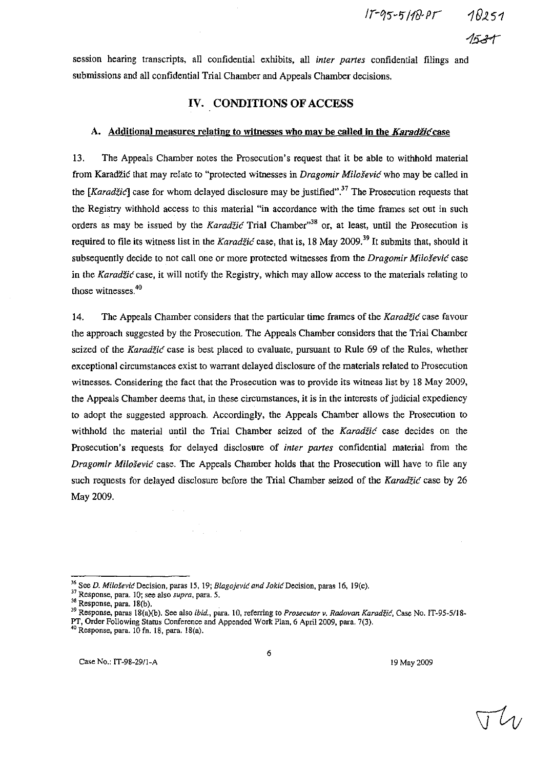session hearing transcripts, all confidential exhibits, all *inter partes* confidential filings and submissions and all confidential Trial Chamber and Appeals Chamber decisions.

# IV. CONDITIONS OF ACCESS

#### A. Additional measures relating to witnesses who may be called in the Karadžić case

13. The Appeals Chamber notes the Prosecution's request that it be able to withhold material from Karadžić that may relate to "protected witnesses in *Dragomir* Milošević who may be called in the  $[Karad\ddot{z}i\acute{c}]$  case for whom delayed disclosure may be justified".<sup>37</sup> The Prosecution requests that the Registry withhold access to this material "in accordance with the time frames set out in such orders as may be issued by the Karadžić Trial Chamber<sup>38</sup> or, at least, until the Prosecution is required to file its witness list in the Karadžić case, that is, 18 May 2009.<sup>39</sup> It submits that, should it subsequently decide to not call one or more protected witnesses from the *Dragomir* Milošević case in the Karadžić case, it will notify the Registry, which may allow access to the materials relating to those witnesses. $40$ 

14. The Appeals Chamber considers that the particular time frames of the Karadžić case favour the approach suggested by the Prosecution. The Appeals Chamber considers that the Trial Chamber seized of the Karadžić case is best placed to evaluate, pursuant to Rule 69 of the Rules, whether exceptional circumstances exist to warrant delayed disclosure of the materials related to Prosecution witnesses. Considering the fact that the Prosecution was to provide its witness list by 18 May 2009, the Appeals Chamber deems that, in these circumstances, it is in the interests of judicial expediency to adopt the suggested approach. Accordingly, the Appeals Chamber allows the Prosecution to withhold the material until the Trial Chamber seized of the Karadžić case decides on the Prosecution's requests for delayed disclosure of *inter partes* confidential material from the *Dragomir* Milošević case. The Appeals Chamber holds that the Prosecution will have to file any such requests for delayed disclosure before the Trial Chamber seized of the Karadžić case by 26 May 2009.

 $\mathcal{L}^{\mathcal{L}}(\mathcal{L}^{\mathcal{L}})$  and  $\mathcal{L}^{\mathcal{L}}(\mathcal{L}^{\mathcal{L}})$  and  $\mathcal{L}^{\mathcal{L}}(\mathcal{L}^{\mathcal{L}})$  and  $\mathcal{L}^{\mathcal{L}}(\mathcal{L}^{\mathcal{L}})$ 

<sup>&</sup>lt;sup>36</sup> See *D. Milošević* Decision, paras 15, 19; Blagojević and Jokić Decision, paras 16, 19(c).

<sup>37</sup> Response, para. 10; see also *supra,* para. 5.

 $38$  Response, para. 18(b).

<sup>39</sup> Response, paras 18(a)(b), See also *ibid.,* para. 10, referring to *Prosecutor v. Radovan* Karadžić, Case No. IT-95-5/J8- PT, Order Following Status Conference and Appended Work Plan. 6 April 2009. para. 7(3).

<sup>40</sup> Response, para. JO fn. 18, para. 18(a).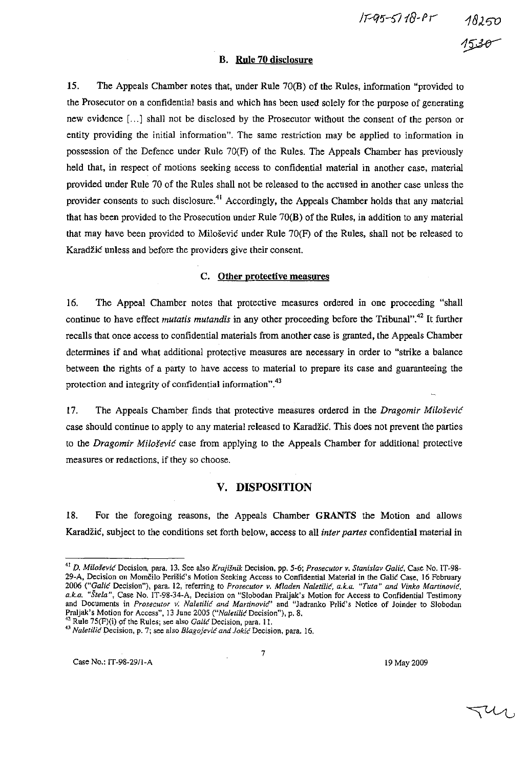15-95-5118-Pr 18250

#### B. Rule 70 disclosure

15. The Appeals Chamber notes that, under Rule 70(B) of the Rules, infonuation "provided to the Prosecutor on a confidential basis and which has been used solely for the purpose of generating new evidence [ ... J shall not be disclosed by the Prosecutor without the consent of the person or entity providing the initial information". The same restriction may be applied to information in possession of the Defence under Rule 70(F) of the Rules. The Appeals Chamber has previously held that, in respect of motions seeking access to confidential material in another case, material provided under Rule 70 of the Rules shaU not be released to the accused in another case unless the provider consents to such disclosure.<sup>41</sup> Accordingly, the Appeals Chamber holds that any material that has been proVided to the Prosecution under Rule 70(B) of the Rules, in addition to any material that may have been provided to Milošević under Rule 70(F) of the Rules, shall not be released to Karadžić unless and before the providers give their consent.

#### C. Other protective measures

16. The Appeal Chamber notes that protective measures ordered in one proceeding "shaU continue to have effect *mutatis mutandis* in any other proceeding before the Tribunal".<sup>42</sup> It further recalls that once access to confidential materials from another case is granted, the Appeals Chamber detennines if and what additional protective measures are necessary in order to "strike a balance between the rights of a party to have access to material to prepare its case and guaranteeing the protection and integrity of confidential information".<sup>43</sup>

17. The Appeals Chamber finds that protective measures ordered in the *Dragomir* Milošević case should continue to apply to any material released to Karadžić. This does not prevent the parties to the *Dragomir* Milošević case from applying to the Appeals Chamber for additional protective measures or redactions, if they so choose.

# V. DISPOSITION

18. For the foregoing reasons, the Appeals Chamber GRANTS the Motion and allows Karadžić, subject to the conditions set forth below, access to aU *inter partes* confidential material in

<sup>42</sup> Rule 75(F)(i) of the Rules; see also *Galić* Decision, para. 11.

*<sup>41</sup> D.* Milošević Decision, para. 13. See also *Krajišnik* Decision. pp. 5-6; *Prosecutor v. Stanislav* Galić, Case No. IT -98- 29-A. Decision on Momčilo Perišić's Motion Seeking Access to Confidential MateriaJ in the Galić Case, 16 February *2006* ("GaUć Decision"), para. 12, referring to *Prosecutor v. Mladen* Naletilić, *a.k.a. "Tuta" and Vinko* Martinović, *a.k.a. "Štela",* Case No. IT-98-34-A, Decision on "Slobodan Praljak's Motion for Access to Confidential Testimony and Documents in *Prosecutor v;* Naletilić *and Martinovie'"* and "Jadranko Prlić's Notice of Joinder to Slobodan Praljak's Motion for Access", 13 June 2005 ("Naletilić Decision"), p. 8.

*<sup>43</sup>*Naletilić Decision, p. 7; see also Blagojević *and* Jokić Decision, para. 16.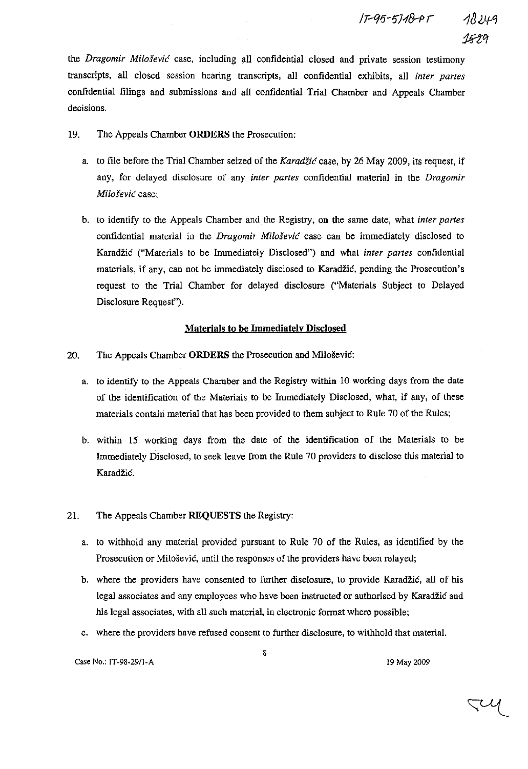the *Dragomir* Milošević case, including all confidential closed and private session testimony transcripts, all closed session hearing transcripts, all confidential exhibits, all *inter partes*  confidential filings and submissions and all confidential Trial Chamber and Appeals Chamber decisions.

- 19. The Appeals Chamber **ORDERS** the Prosecution:
	- a. to file before the Trial Chamber seized of the Karadžić case, by 26 May 2009, its request, if any, for delayed disclosure of any *inter partes* confidential material in the *Dragomir*  Milošević case;
	- b. to identify to the Appeals Chamber and the Registry, on the same date, what *inter partes*  confidential material in the *Dragomir* Milošević case can be immediately disclosed to Karadžić ("Materials to be Immediately Disclosed") and what *inter partes* confidential materials, if any, can not be immediately disclosed to Karadžić, pending the Prosecution's request to the Trial Chamber for delayed disclosure ("Materials Subject to Delayed Disclosure Request").

## **Materials to be Immediately Disclosed**

## 20. The Appeals Chamber **ORDERS** the Prosecution and Milošević:

- a. to identify to the Appeals Chamber and the Registry within 10 working days from the date of the identification of the Materials to be Immediately Disclosed, what, if any, of these materials contain material that has been provided to them subject to Rule 70 of the Rules;
- b. within 15 working days from the date of the identification of the Materials to be Immediately Disclosed, to seek leave from the Rule 70 providers to disclose this material to Karadžić.

## 21. The Appeals Chamber **REQUESTS** the Registry:

- a. to withhold any material provided pursuant to Rule 70 of the Rules, as ideutified by the Prosecution or Milošević, until the responses of the providers have been relayed;
- b. where the providers have consented to further disclosure, to provide Karadžić, all of his legal associates and any employees who have been instructed or authorised by Karadžić and his legal associates, with all such material, in electronic format where possible;
- c. where the providers have refused consent to further disclosure, to withhold that material.

8

JU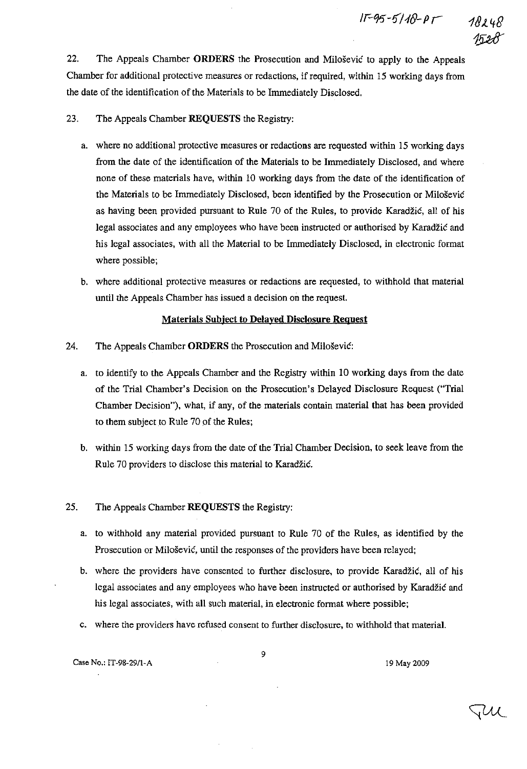

22. The Appeals Chamber ORDERS the Prosecution and Milošević to apply to the Appeals Chamber for additional protective measures or redactions, if required, within 15 working days from the date of the identification of the Materials to be Immediately Disclosed.

23. The Appeals Chamber REQUESTS the Registry:

- a. where no additional protective measures or redactions are requested within 15 working days from the date of the identification of the Materials to be Immediately Disclosed, and where none of these materials have, within 10 working days from the date of the identification of the Materials to be Immediately Disclosed, been identified by the Prosecution or Milošević as having been provided pursuant to Rule 70 of the Rules, to provide Karadžić, all of his legal associates and any employees who have been instructed or authorised by Karadžić and his legal associates, with all the Material to be Immediately Disclosed, in electronic format where possible;
- b. where additional protective measures or redactions are requested, to withhold that material until the Appeals Chamber has issued a decision on the request.

# Materials Subject to Delayed Disclosure Request

- 24. The Appeals Chamber **ORDERS** the Prosecution and Milošević:
	- a. to identify to the Appeals Chamber and the Registry within 10 working days from the date of the Trial Chamber's Decision on the Prosecution's Delayed Disclosure Request (''Trial Chamber Decision"), what, if any, of the materials contain material that has been provided to them subject to Rule 70 of the Rules;
	- b. within 15 working days from the date of the Trial Chamber Decision, to seek leave from the Rule 70 providers to disclose this material to Karadžić.
- 25. The Appeals Chamber REQUESTS the Registry:
	- a. to withhold any material provided pursuant to Rule 70 of the Rules, as identified by the Prosecution or Milošević, until the responses of the providers have been relayed;
	- b. where the providers have consented to further disclosure, to provide Karadžić, all of his legal associates and any employees who have been instructed or authorised by Karadžić and his legal associates, with all such material, in electronic format where possible;
	- c. where the providers have refused consent to further disclosure, to withbold that material.

9

Case No.: IT-98-29/1-A 19 May 2009

JUL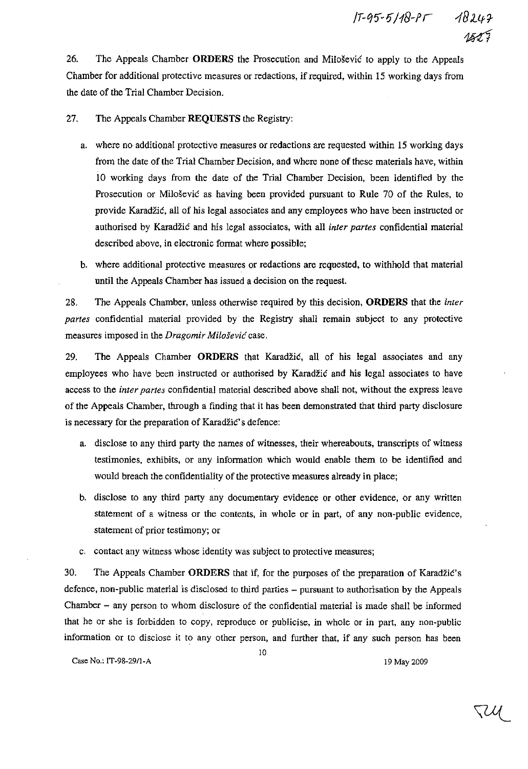26. The Appeals Chamber **ORDERS** the Prosecution and Milošević to apply to the Appeals Chamber for additional protective measures or redactions, if required, within 15 working days from the date of the Trial Chamber Decision.

27. The Appeals Chamber **REQUESTS** the Registry:

- a. where no additional protective measures or redactions are requested within 15 working days from the date of the Trial Chamber Decision, and where none of these materials have, within 10 working days from the date of the Trial Chamber Decision, been identified by the Prosecution or Milošević as having been provided pursuant to Rule 70 of the Rules, to provide Karadžić, all of his legal associates and any employees who have been instructed or authorised by Karadžić and his legal associates, with all *inter partes* confidential material described above, in electronic format where possible;
- b. where additional protective measures or redactions are requested, to withhold that material until the Appeals Chamber has issued a decision on the request.

28. The Appeals Chamber, unless otherwise required by this decision, **ORDERS** that the *inler partes* confidential material provided by the Registry shall remain subject to any protective measures imposed in the *Dragomir* Milošević case.

29. The Appeals Chamber **ORDERS** that Karadžić, all of his legal associates and any employees who have been instructed or authorised by Karadžić and his legal associates to have access to the *inter partes* confidential material described above shall not, without the express leave of the Appeals Chamber, through a finding that it has been demonstrated that third party disclosure is necessary for the preparation of Karadžić' s defence:

- a. disclose to any third party the names of witnesses, their whereabouts, transcripts of witness testimonies, exhibits, or any information which would enable them to be identified and would breach the confidentiality of the protective measures already in place;
- b. disclose to any third party any documentary evidence or other evidence, or any written statement of a witness or the contents, in whole or in part, of any non-public evidence, statement of prior testimony; or
- c. contact any witness whose identity was subject to protective measures;

30. The Appeals Chamber **ORDERS** that if, for the purposes of the preparation of Karadžić's defence, non-pUblic material is disclosed to third parties - pursuant to authorisation by the Appeals Chamber - any person to whom disclosure of the confidential material is made shall be informed that he or she is forbidden to copy, reproduce or publicise, in whole or in part, any non-public information or to disclose it to any other person, and further that, if any such person has been

10

Case No.: IT-98-2911-A 19 May 2009